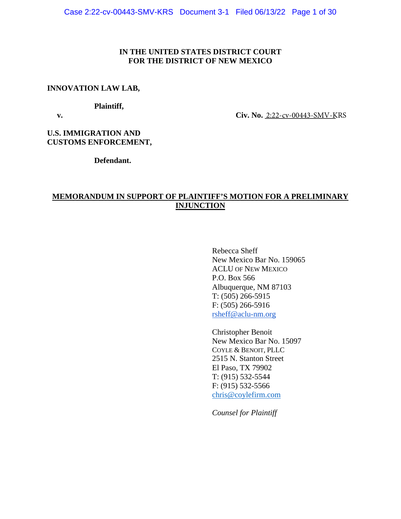# **IN THE UNITED STATES DISTRICT COURT FOR THE DISTRICT OF NEW MEXICO**

# **INNOVATION LAW LAB,**

## **Plaintiff,**

**v.** Civ. No. <u>2:22-cv-00443-SMV-K</u>RS

**U.S. IMMIGRATION AND CUSTOMS ENFORCEMENT,**

**Defendant.**

# **MEMORANDUM IN SUPPORT OF PLAINTIFF'S MOTION FOR A PRELIMINARY INJUNCTION**

Rebecca Sheff New Mexico Bar No. 159065 ACLU OF NEW MEXICO P.O. Box 566 Albuquerque, NM 87103 T: (505) 266-5915 F: (505) 266-5916 [rsheff@aclu-nm.org](mailto:rsheff@aclu-nm.org) 

Christopher Benoit New Mexico Bar No. 15097 COYLE & BENOIT, PLLC 2515 N. Stanton Street El Paso, TX 79902 T: (915) 532-5544 F: (915) 532-5566 [chris@coylefirm.com](mailto:chris@coylefirm.com) 

*Counsel for Plaintiff*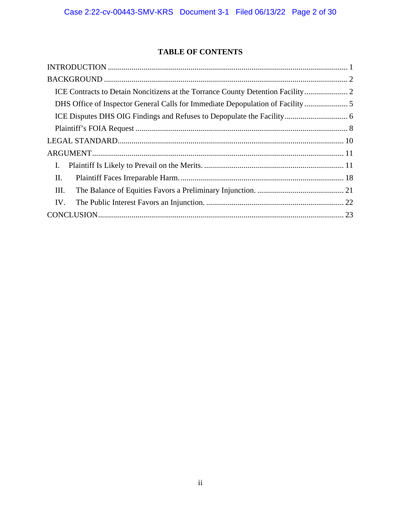# **TABLE OF CONTENTS**

| Ι.  |  |
|-----|--|
| II. |  |
| Ш.  |  |
| IV. |  |
|     |  |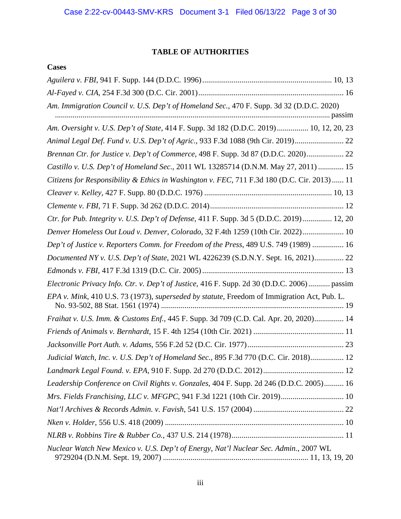# **TABLE OF AUTHORITIES**

# **Cases**

| Am. Immigration Council v. U.S. Dep't of Homeland Sec., 470 F. Supp. 3d 32 (D.D.C. 2020)     |
|----------------------------------------------------------------------------------------------|
| Am. Oversight v. U.S. Dep't of State, 414 F. Supp. 3d 182 (D.D.C. 2019) 10, 12, 20, 23       |
| Animal Legal Def. Fund v. U.S. Dep't of Agric., 933 F.3d 1088 (9th Cir. 2019) 22             |
| Brennan Ctr. for Justice v. Dep't of Commerce, 498 F. Supp. 3d 87 (D.D.C. 2020) 22           |
| Castillo v. U.S. Dep't of Homeland Sec., 2011 WL 13285714 (D.N.M. May 27, 2011)  15          |
| Citizens for Responsibility & Ethics in Washington v. FEC, 711 F.3d 180 (D.C. Cir. 2013)  11 |
|                                                                                              |
|                                                                                              |
| Ctr. for Pub. Integrity v. U.S. Dep't of Defense, 411 F. Supp. 3d 5 (D.D.C. 2019) 12, 20     |
| Denver Homeless Out Loud v. Denver, Colorado, 32 F.4th 1259 (10th Cir. 2022) 10              |
| Dep't of Justice v. Reporters Comm. for Freedom of the Press, 489 U.S. 749 (1989)  16        |
| Documented NY v. U.S. Dep't of State, 2021 WL 4226239 (S.D.N.Y. Sept. 16, 2021) 22           |
|                                                                                              |
| Electronic Privacy Info. Ctr. v. Dep't of Justice, 416 F. Supp. 2d 30 (D.D.C. 2006) passim   |
| EPA v. Mink, 410 U.S. 73 (1973), superseded by statute, Freedom of Immigration Act, Pub. L.  |
| Fraihat v. U.S. Imm. & Customs Enf., 445 F. Supp. 3d 709 (C.D. Cal. Apr. 20, 2020) 14        |
|                                                                                              |
|                                                                                              |
| Judicial Watch, Inc. v. U.S. Dep't of Homeland Sec., 895 F.3d 770 (D.C. Cir. 2018) 12        |
|                                                                                              |
| Leadership Conference on Civil Rights v. Gonzales, 404 F. Supp. 2d 246 (D.D.C. 2005) 16      |
| Mrs. Fields Franchising, LLC v. MFGPC, 941 F.3d 1221 (10th Cir. 2019) 10                     |
|                                                                                              |
|                                                                                              |
|                                                                                              |
| Nuclear Watch New Mexico v. U.S. Dep't of Energy, Nat'l Nuclear Sec. Admin., 2007 WL         |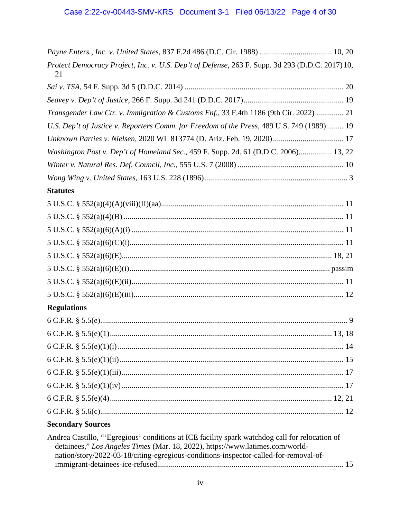| Protect Democracy Project, Inc. v. U.S. Dep't of Defense, 263 F. Supp. 3d 293 (D.D.C. 2017) 10,<br>21                                                                                                                                                                   |
|-------------------------------------------------------------------------------------------------------------------------------------------------------------------------------------------------------------------------------------------------------------------------|
|                                                                                                                                                                                                                                                                         |
|                                                                                                                                                                                                                                                                         |
| Transgender Law Ctr. v. Immigration & Customs Enf., 33 F.4th 1186 (9th Cir. 2022)  21                                                                                                                                                                                   |
| U.S. Dep't of Justice v. Reporters Comm. for Freedom of the Press, 489 U.S. 749 (1989) 19                                                                                                                                                                               |
| Unknown Parties v. Nielsen, 2020 WL 813774 (D. Ariz. Feb. 19, 2020) 17                                                                                                                                                                                                  |
| Washington Post v. Dep't of Homeland Sec., 459 F. Supp. 2d. 61 (D.D.C. 2006) 13, 22                                                                                                                                                                                     |
|                                                                                                                                                                                                                                                                         |
|                                                                                                                                                                                                                                                                         |
| <b>Statutes</b>                                                                                                                                                                                                                                                         |
|                                                                                                                                                                                                                                                                         |
|                                                                                                                                                                                                                                                                         |
|                                                                                                                                                                                                                                                                         |
|                                                                                                                                                                                                                                                                         |
|                                                                                                                                                                                                                                                                         |
|                                                                                                                                                                                                                                                                         |
|                                                                                                                                                                                                                                                                         |
|                                                                                                                                                                                                                                                                         |
| <b>Regulations</b>                                                                                                                                                                                                                                                      |
|                                                                                                                                                                                                                                                                         |
|                                                                                                                                                                                                                                                                         |
|                                                                                                                                                                                                                                                                         |
|                                                                                                                                                                                                                                                                         |
|                                                                                                                                                                                                                                                                         |
|                                                                                                                                                                                                                                                                         |
|                                                                                                                                                                                                                                                                         |
|                                                                                                                                                                                                                                                                         |
| <b>Secondary Sources</b>                                                                                                                                                                                                                                                |
| Andrea Castillo, "'Egregious' conditions at ICE facility spark watchdog call for relocation of<br>detainees," Los Angeles Times (Mar. 18, 2022), https://www.latimes.com/world-<br>nation/story/2022-03-18/citing-egregious-conditions-inspector-called-for-removal-of- |
|                                                                                                                                                                                                                                                                         |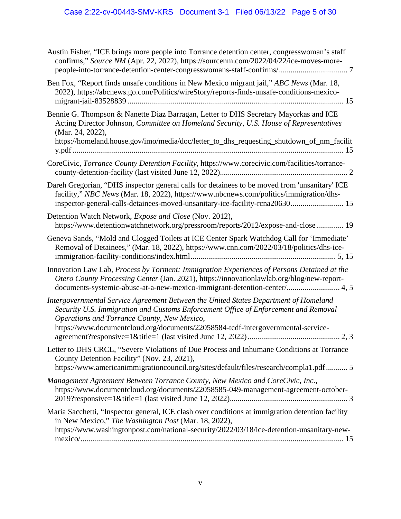| Austin Fisher, "ICE brings more people into Torrance detention center, congresswoman's staff<br>confirms," Source NM (Apr. 22, 2022), https://sourcenm.com/2022/04/22/ice-moves-more-                                                                                                                          |
|----------------------------------------------------------------------------------------------------------------------------------------------------------------------------------------------------------------------------------------------------------------------------------------------------------------|
| Ben Fox, "Report finds unsafe conditions in New Mexico migrant jail," ABC News (Mar. 18,<br>2022), https://abcnews.go.com/Politics/wireStory/reports-finds-unsafe-conditions-mexico-                                                                                                                           |
| Bennie G. Thompson & Nanette Diaz Barragan, Letter to DHS Secretary Mayorkas and ICE<br>Acting Director Johnson, Committee on Homeland Security, U.S. House of Representatives<br>(Mar. 24, 2022),<br>https://homeland.house.gov/imo/media/doc/letter_to_dhs_requesting_shutdown_of_nm_facilit                 |
| CoreCivic, Torrance County Detention Facility, https://www.corecivic.com/facilities/torrance-                                                                                                                                                                                                                  |
| Dareh Gregorian, "DHS inspector general calls for detainees to be moved from 'unsanitary' ICE<br>facility," NBC News (Mar. 18, 2022), https://www.nbcnews.com/politics/immigration/dhs-<br>inspector-general-calls-detainees-moved-unsanitary-ice-facility-rcna20630 15                                        |
| Detention Watch Network, <i>Expose and Close</i> (Nov. 2012),<br>https://www.detentionwatchnetwork.org/pressroom/reports/2012/expose-and-close 19                                                                                                                                                              |
| Geneva Sands, "Mold and Clogged Toilets at ICE Center Spark Watchdog Call for 'Immediate'<br>Removal of Detainees," (Mar. 18, 2022), https://www.cnn.com/2022/03/18/politics/dhs-ice-                                                                                                                          |
| Innovation Law Lab, Process by Torment: Immigration Experiences of Persons Detained at the<br>Otero County Processing Center (Jan. 2021), https://innovationlawlab.org/blog/new-report-<br>documents-systemic-abuse-at-a-new-mexico-immigrant-detention-center/ 4, 5                                           |
| Intergovernmental Service Agreement Between the United States Department of Homeland<br>Security U.S. Immigration and Customs Enforcement Office of Enforcement and Removal<br>Operations and Torrance County, New Mexico,<br>https://www.documentcloud.org/documents/22058584-tcdf-intergovernmental-service- |
| Letter to DHS CRCL, "Severe Violations of Due Process and Inhumane Conditions at Torrance<br>County Detention Facility" (Nov. 23, 2021),<br>https://www.americanimmigrationcouncil.org/sites/default/files/research/compla1.pdf5                                                                               |
| Management Agreement Between Torrance County, New Mexico and CoreCivic, Inc.,<br>https://www.documentcloud.org/documents/22058585-049-management-agreement-october-                                                                                                                                            |
| Maria Sacchetti, "Inspector general, ICE clash over conditions at immigration detention facility<br>in New Mexico," The Washington Post (Mar. 18, 2022),<br>https://www.washingtonpost.com/national-security/2022/03/18/ice-detention-unsanitary-new-                                                          |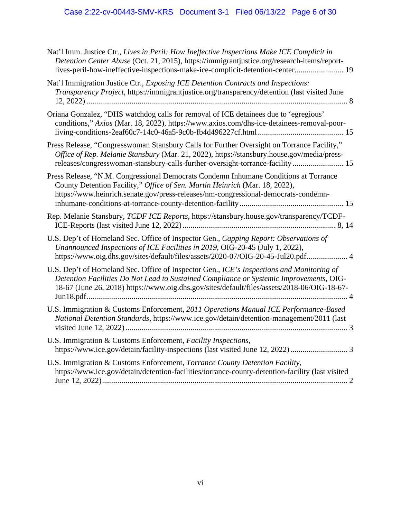| Nat'l Imm. Justice Ctr., Lives in Peril: How Ineffective Inspections Make ICE Complicit in<br>Detention Center Abuse (Oct. 21, 2015), https://immigrantjustice.org/research-items/report-<br>lives-peril-how-ineffective-inspections-make-ice-complicit-detention-center 19         |
|-------------------------------------------------------------------------------------------------------------------------------------------------------------------------------------------------------------------------------------------------------------------------------------|
| Nat'l Immigration Justice Ctr., Exposing ICE Detention Contracts and Inspections:<br>Transparency Project, https://immigrantjustice.org/transparency/detention (last visited June                                                                                                   |
| Oriana Gonzalez, "DHS watchdog calls for removal of ICE detainees due to 'egregious'<br>conditions," Axios (Mar. 18, 2022), https://www.axios.com/dhs-ice-detainees-removal-poor-                                                                                                   |
| Press Release, "Congresswoman Stansbury Calls for Further Oversight on Torrance Facility,"<br>Office of Rep. Melanie Stansbury (Mar. 21, 2022), https://stansbury.house.gov/media/press-<br>releases/congresswoman-stansbury-calls-further-oversight-torrance-facility 15           |
| Press Release, "N.M. Congressional Democrats Condemn Inhumane Conditions at Torrance<br>County Detention Facility," Office of Sen. Martin Heinrich (Mar. 18, 2022),<br>https://www.heinrich.senate.gov/press-releases/nm-congressional-democrats-condemn-                           |
| Rep. Melanie Stansbury, TCDF ICE Reports, https://stansbury.house.gov/transparency/TCDF-                                                                                                                                                                                            |
| U.S. Dep't of Homeland Sec. Office of Inspector Gen., Capping Report: Observations of<br>Unannounced Inspections of ICE Facilities in 2019, OIG-20-45 (July 1, 2022),<br>https://www.oig.dhs.gov/sites/default/files/assets/2020-07/OIG-20-45-Jul20.pdf 4                           |
| U.S. Dep't of Homeland Sec. Office of Inspector Gen., ICE's Inspections and Monitoring of<br>Detention Facilities Do Not Lead to Sustained Compliance or Systemic Improvements, OIG-<br>18-67 (June 26, 2018) https://www.oig.dhs.gov/sites/default/files/assets/2018-06/OIG-18-67- |
| U.S. Immigration & Customs Enforcement, 2011 Operations Manual ICE Performance-Based<br>National Detention Standards, https://www.ice.gov/detain/detention-management/2011 (last                                                                                                    |
| U.S. Immigration & Customs Enforcement, Facility Inspections,                                                                                                                                                                                                                       |
| U.S. Immigration & Customs Enforcement, Torrance County Detention Facility,<br>https://www.ice.gov/detain/detention-facilities/torrance-county-detention-facility (last visited                                                                                                     |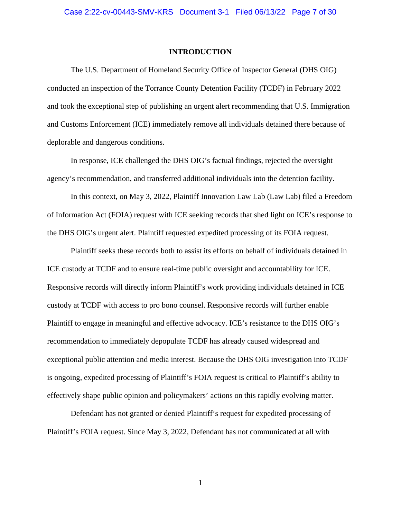### **INTRODUCTION**

<span id="page-6-0"></span>The U.S. Department of Homeland Security Office of Inspector General (DHS OIG) conducted an inspection of the Torrance County Detention Facility (TCDF) in February 2022 and took the exceptional step of publishing an urgent alert recommending that U.S. Immigration and Customs Enforcement (ICE) immediately remove all individuals detained there because of deplorable and dangerous conditions.

In response, ICE challenged the DHS OIG's factual findings, rejected the oversight agency's recommendation, and transferred additional individuals into the detention facility.

In this context, on May 3, 2022, Plaintiff Innovation Law Lab (Law Lab) filed a Freedom of Information Act (FOIA) request with ICE seeking records that shed light on ICE's response to the DHS OIG's urgent alert. Plaintiff requested expedited processing of its FOIA request.

Plaintiff seeks these records both to assist its efforts on behalf of individuals detained in ICE custody at TCDF and to ensure real-time public oversight and accountability for ICE. Responsive records will directly inform Plaintiff's work providing individuals detained in ICE custody at TCDF with access to pro bono counsel. Responsive records will further enable Plaintiff to engage in meaningful and effective advocacy. ICE's resistance to the DHS OIG's recommendation to immediately depopulate TCDF has already caused widespread and exceptional public attention and media interest. Because the DHS OIG investigation into TCDF is ongoing, expedited processing of Plaintiff's FOIA request is critical to Plaintiff's ability to effectively shape public opinion and policymakers' actions on this rapidly evolving matter.

Defendant has not granted or denied Plaintiff's request for expedited processing of Plaintiff's FOIA request. Since May 3, 2022, Defendant has not communicated at all with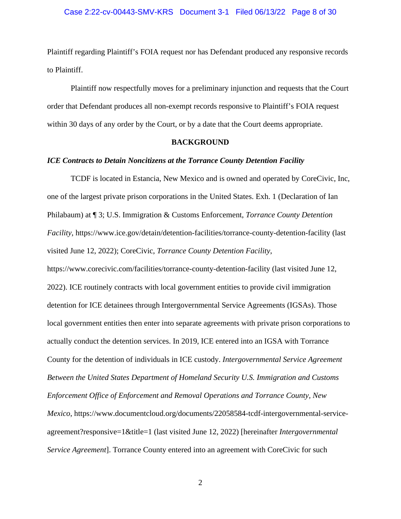Plaintiff regarding Plaintiff's FOIA request nor has Defendant produced any responsive records to Plaintiff.

Plaintiff now respectfully moves for a preliminary injunction and requests that the Court order that Defendant produces all non-exempt records responsive to Plaintiff's FOIA request within 30 days of any order by the Court, or by a date that the Court deems appropriate.

### **BACKGROUND**

### <span id="page-7-1"></span><span id="page-7-0"></span>*ICE Contracts to Detain Noncitizens at the Torrance County Detention Facility*

TCDF is located in Estancia, New Mexico and is owned and operated by CoreCivic, Inc, one of the largest private prison corporations in the United States. Exh. 1 (Declaration of Ian Philabaum) at ¶ 3; U.S. Immigration & Customs Enforcement, *Torrance County Detention Facility*, https://www.ice.gov/detain/detention-facilities/torrance-county-detention-facility (last visited June 12, 2022); CoreCivic, *Torrance County Detention Facility*,

https://www.corecivic.com/facilities/torrance-county-detention-facility (last visited June 12, 2022). ICE routinely contracts with local government entities to provide civil immigration detention for ICE detainees through Intergovernmental Service Agreements (IGSAs). Those local government entities then enter into separate agreements with private prison corporations to actually conduct the detention services. In 2019, ICE entered into an IGSA with Torrance County for the detention of individuals in ICE custody. *Intergovernmental Service Agreement Between the United States Department of Homeland Security U.S. Immigration and Customs Enforcement Office of Enforcement and Removal Operations and Torrance County, New Mexico*, https://www.documentcloud.org/documents/22058584-tcdf-intergovernmental-serviceagreement?responsive=1&title=1 (last visited June 12, 2022) [hereinafter *Intergovernmental Service Agreement*]. Torrance County entered into an agreement with CoreCivic for such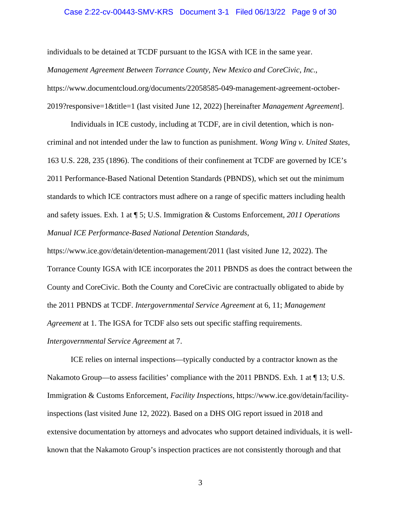### Case 2:22-cv-00443-SMV-KRS Document 3-1 Filed 06/13/22 Page 9 of 30

individuals to be detained at TCDF pursuant to the IGSA with ICE in the same year. *Management Agreement Between Torrance County, New Mexico and CoreCivic, Inc.*, https://www.documentcloud.org/documents/22058585-049-management-agreement-october-2019?responsive=1&title=1 (last visited June 12, 2022) [hereinafter *Management Agreement*].

Individuals in ICE custody, including at TCDF, are in civil detention, which is noncriminal and not intended under the law to function as punishment. *Wong Wing v. United States*, 163 U.S. 228, 235 (1896). The conditions of their confinement at TCDF are governed by ICE's 2011 Performance-Based National Detention Standards (PBNDS), which set out the minimum standards to which ICE contractors must adhere on a range of specific matters including health and safety issues. Exh. 1 at ¶ 5; U.S. Immigration & Customs Enforcement, *2011 Operations Manual ICE Performance-Based National Detention Standards*,

https://www.ice.gov/detain/detention-management/2011 (last visited June 12, 2022). The Torrance County IGSA with ICE incorporates the 2011 PBNDS as does the contract between the County and CoreCivic. Both the County and CoreCivic are contractually obligated to abide by the 2011 PBNDS at TCDF. *Intergovernmental Service Agreement* at 6, 11; *Management Agreement* at 1. The IGSA for TCDF also sets out specific staffing requirements.

*Intergovernmental Service Agreement* at 7.

ICE relies on internal inspections—typically conducted by a contractor known as the Nakamoto Group—to assess facilities' compliance with the 2011 PBNDS. Exh. 1 at  $\P$  13; U.S. Immigration & Customs Enforcement, *Facility Inspections*, https://www.ice.gov/detain/facilityinspections (last visited June 12, 2022). Based on a DHS OIG report issued in 2018 and extensive documentation by attorneys and advocates who support detained individuals, it is wellknown that the Nakamoto Group's inspection practices are not consistently thorough and that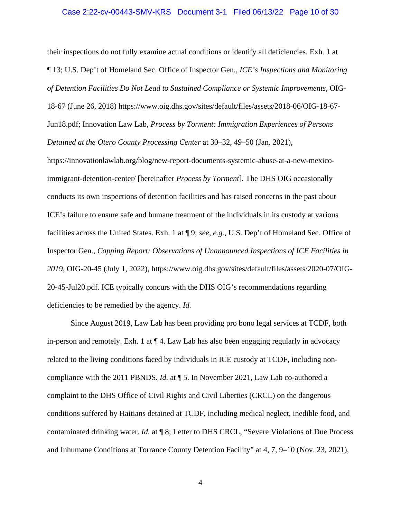### Case 2:22-cv-00443-SMV-KRS Document 3-1 Filed 06/13/22 Page 10 of 30

their inspections do not fully examine actual conditions or identify all deficiencies. Exh. 1 at ¶ 13; U.S. Dep't of Homeland Sec. Office of Inspector Gen., *ICE's Inspections and Monitoring of Detention Facilities Do Not Lead to Sustained Compliance or Systemic Improvements*, OIG-18-67 (June 26, 2018) https://www.oig.dhs.gov/sites/default/files/assets/2018-06/OIG-18-67- Jun18.pdf; Innovation Law Lab, *Process by Torment: Immigration Experiences of Persons Detained at the Otero County Processing Center* at 30–32, 49–50 (Jan. 2021),

https://innovationlawlab.org/blog/new-report-documents-systemic-abuse-at-a-new-mexicoimmigrant-detention-center/ [hereinafter *Process by Torment*]. The DHS OIG occasionally conducts its own inspections of detention facilities and has raised concerns in the past about ICE's failure to ensure safe and humane treatment of the individuals in its custody at various facilities across the United States. Exh. 1 at ¶ 9; *see, e.g.*, U.S. Dep't of Homeland Sec. Office of Inspector Gen., *Capping Report: Observations of Unannounced Inspections of ICE Facilities in 2019*, OIG-20-45 (July 1, 2022), https://www.oig.dhs.gov/sites/default/files/assets/2020-07/OIG-20-45-Jul20.pdf. ICE typically concurs with the DHS OIG's recommendations regarding deficiencies to be remedied by the agency. *Id.*

Since August 2019, Law Lab has been providing pro bono legal services at TCDF, both in-person and remotely. Exh. 1 at  $\P$  4. Law Lab has also been engaging regularly in advocacy related to the living conditions faced by individuals in ICE custody at TCDF, including noncompliance with the 2011 PBNDS. *Id.* at ¶ 5. In November 2021, Law Lab co-authored a complaint to the DHS Office of Civil Rights and Civil Liberties (CRCL) on the dangerous conditions suffered by Haitians detained at TCDF, including medical neglect, inedible food, and contaminated drinking water. *Id.* at ¶ 8; Letter to DHS CRCL, "Severe Violations of Due Process and Inhumane Conditions at Torrance County Detention Facility" at 4, 7, 9–10 (Nov. 23, 2021),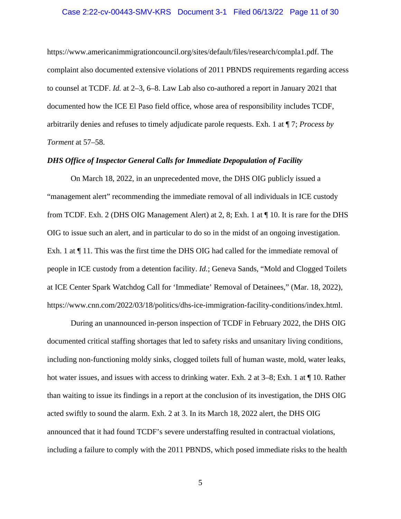### Case 2:22-cv-00443-SMV-KRS Document 3-1 Filed 06/13/22 Page 11 of 30

https://www.americanimmigrationcouncil.org/sites/default/files/research/compla1.pdf. The complaint also documented extensive violations of 2011 PBNDS requirements regarding access to counsel at TCDF. *Id.* at 2–3, 6–8. Law Lab also co-authored a report in January 2021 that documented how the ICE El Paso field office, whose area of responsibility includes TCDF, arbitrarily denies and refuses to timely adjudicate parole requests. Exh. 1 at ¶ 7; *Process by Torment* at 57–58.

## <span id="page-10-0"></span>*DHS Office of Inspector General Calls for Immediate Depopulation of Facility*

On March 18, 2022, in an unprecedented move, the DHS OIG publicly issued a "management alert" recommending the immediate removal of all individuals in ICE custody from TCDF. Exh. 2 (DHS OIG Management Alert) at 2, 8; Exh. 1 at ¶ 10. It is rare for the DHS OIG to issue such an alert, and in particular to do so in the midst of an ongoing investigation. Exh. 1 at ¶ 11. This was the first time the DHS OIG had called for the immediate removal of people in ICE custody from a detention facility. *Id.*; Geneva Sands, "Mold and Clogged Toilets at ICE Center Spark Watchdog Call for 'Immediate' Removal of Detainees," (Mar. 18, 2022), https://www.cnn.com/2022/03/18/politics/dhs-ice-immigration-facility-conditions/index.html.

During an unannounced in-person inspection of TCDF in February 2022, the DHS OIG documented critical staffing shortages that led to safety risks and unsanitary living conditions, including non-functioning moldy sinks, clogged toilets full of human waste, mold, water leaks, hot water issues, and issues with access to drinking water. Exh. 2 at 3–8; Exh. 1 at  $\P$  10. Rather than waiting to issue its findings in a report at the conclusion of its investigation, the DHS OIG acted swiftly to sound the alarm. Exh. 2 at 3. In its March 18, 2022 alert, the DHS OIG announced that it had found TCDF's severe understaffing resulted in contractual violations, including a failure to comply with the 2011 PBNDS, which posed immediate risks to the health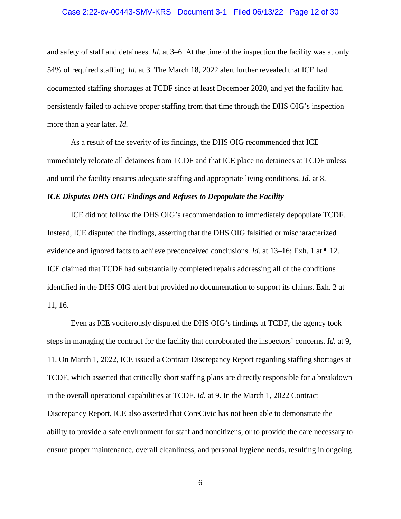and safety of staff and detainees. *Id.* at 3–6. At the time of the inspection the facility was at only 54% of required staffing. *Id.* at 3. The March 18, 2022 alert further revealed that ICE had documented staffing shortages at TCDF since at least December 2020, and yet the facility had persistently failed to achieve proper staffing from that time through the DHS OIG's inspection more than a year later. *Id.*

As a result of the severity of its findings, the DHS OIG recommended that ICE immediately relocate all detainees from TCDF and that ICE place no detainees at TCDF unless and until the facility ensures adequate staffing and appropriate living conditions. *Id.* at 8.

# <span id="page-11-0"></span>*ICE Disputes DHS OIG Findings and Refuses to Depopulate the Facility*

ICE did not follow the DHS OIG's recommendation to immediately depopulate TCDF. Instead, ICE disputed the findings, asserting that the DHS OIG falsified or mischaracterized evidence and ignored facts to achieve preconceived conclusions. *Id.* at 13–16; Exh. 1 at ¶ 12. ICE claimed that TCDF had substantially completed repairs addressing all of the conditions identified in the DHS OIG alert but provided no documentation to support its claims. Exh. 2 at 11, 16.

Even as ICE vociferously disputed the DHS OIG's findings at TCDF, the agency took steps in managing the contract for the facility that corroborated the inspectors' concerns. *Id.* at 9, 11. On March 1, 2022, ICE issued a Contract Discrepancy Report regarding staffing shortages at TCDF, which asserted that critically short staffing plans are directly responsible for a breakdown in the overall operational capabilities at TCDF. *Id.* at 9. In the March 1, 2022 Contract Discrepancy Report, ICE also asserted that CoreCivic has not been able to demonstrate the ability to provide a safe environment for staff and noncitizens, or to provide the care necessary to ensure proper maintenance, overall cleanliness, and personal hygiene needs, resulting in ongoing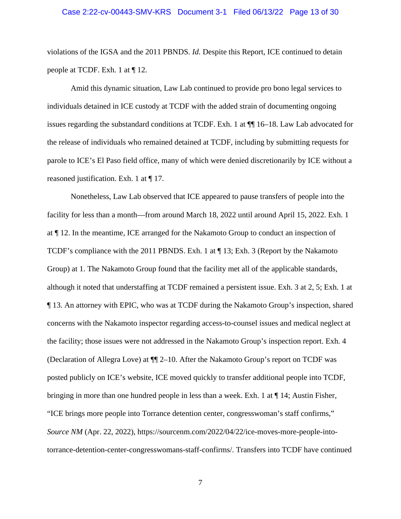### Case 2:22-cv-00443-SMV-KRS Document 3-1 Filed 06/13/22 Page 13 of 30

violations of the IGSA and the 2011 PBNDS. *Id.* Despite this Report, ICE continued to detain people at TCDF. Exh. 1 at ¶ 12.

Amid this dynamic situation, Law Lab continued to provide pro bono legal services to individuals detained in ICE custody at TCDF with the added strain of documenting ongoing issues regarding the substandard conditions at TCDF. Exh. 1 at ¶¶ 16–18. Law Lab advocated for the release of individuals who remained detained at TCDF, including by submitting requests for parole to ICE's El Paso field office, many of which were denied discretionarily by ICE without a reasoned justification. Exh. 1 at ¶ 17.

Nonetheless, Law Lab observed that ICE appeared to pause transfers of people into the facility for less than a month—from around March 18, 2022 until around April 15, 2022. Exh. 1 at ¶ 12. In the meantime, ICE arranged for the Nakamoto Group to conduct an inspection of TCDF's compliance with the 2011 PBNDS. Exh. 1 at ¶ 13; Exh. 3 (Report by the Nakamoto Group) at 1. The Nakamoto Group found that the facility met all of the applicable standards, although it noted that understaffing at TCDF remained a persistent issue. Exh. 3 at 2, 5; Exh. 1 at ¶ 13. An attorney with EPIC, who was at TCDF during the Nakamoto Group's inspection, shared concerns with the Nakamoto inspector regarding access-to-counsel issues and medical neglect at the facility; those issues were not addressed in the Nakamoto Group's inspection report. Exh. 4 (Declaration of Allegra Love) at ¶¶ 2–10. After the Nakamoto Group's report on TCDF was posted publicly on ICE's website, ICE moved quickly to transfer additional people into TCDF, bringing in more than one hundred people in less than a week. Exh. 1 at ¶ 14; Austin Fisher, "ICE brings more people into Torrance detention center, congresswoman's staff confirms," *Source NM* (Apr. 22, 2022)[,](https://sourcenm.com/2022/04/22/ice-moves-more-people-into-torrance-detention-center-congresswomans-staff-confirms/) https://sourcenm.com/2022/04/22/ice-moves-more-people-intotorrance-detention-center-congresswomans-staff-confirms/. Transfers into TCDF have continued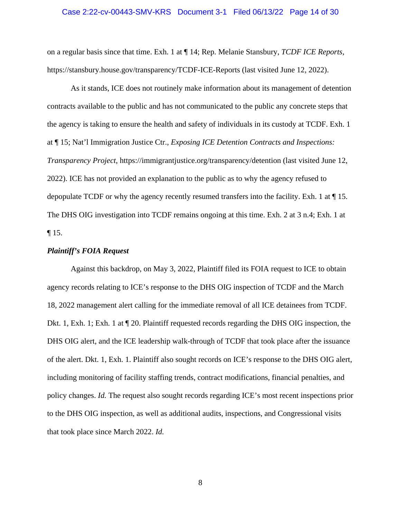### Case 2:22-cv-00443-SMV-KRS Document 3-1 Filed 06/13/22 Page 14 of 30

on a regular basis since that time. Exh. 1 at ¶ 14; Rep. Melanie Stansbury, *TCDF ICE Reports*, https://stansbury.house.gov/transparency/TCDF-ICE-Reports (last visited June 12, 2022).

As it stands, ICE does not routinely make information about its management of detention contracts available to the public and has not communicated to the public any concrete steps that the agency is taking to ensure the health and safety of individuals in its custody at TCDF. Exh. 1 at ¶ 15; Nat'l Immigration Justice Ctr., *Exposing ICE Detention Contracts and Inspections: Transparency Project*, https://immigrantjustice.org/transparency/detention (last visited June 12, 2022). ICE has not provided an explanation to the public as to why the agency refused to depopulate TCDF or why the agency recently resumed transfers into the facility. Exh. 1 at ¶ 15. The DHS OIG investigation into TCDF remains ongoing at this time. Exh. 2 at 3 n.4; Exh. 1 at  $\P$  15.

# <span id="page-13-0"></span>*Plaintiff's FOIA Request*

Against this backdrop, on May 3, 2022, Plaintiff filed its FOIA request to ICE to obtain agency records relating to ICE's response to the DHS OIG inspection of TCDF and the March 18, 2022 management alert calling for the immediate removal of all ICE detainees from TCDF. Dkt. 1, Exh. 1; Exh. 1 at ¶ 20. Plaintiff requested records regarding the DHS OIG inspection, the DHS OIG alert, and the ICE leadership walk-through of TCDF that took place after the issuance of the alert. Dkt. 1, Exh. 1. Plaintiff also sought records on ICE's response to the DHS OIG alert, including monitoring of facility staffing trends, contract modifications, financial penalties, and policy changes. *Id.* The request also sought records regarding ICE's most recent inspections prior to the DHS OIG inspection, as well as additional audits, inspections, and Congressional visits that took place since March 2022. *Id.*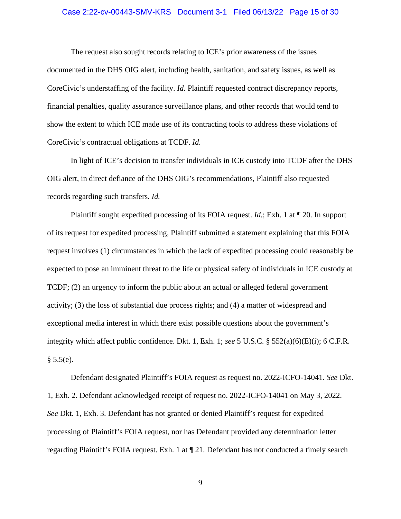### Case 2:22-cv-00443-SMV-KRS Document 3-1 Filed 06/13/22 Page 15 of 30

The request also sought records relating to ICE's prior awareness of the issues documented in the DHS OIG alert, including health, sanitation, and safety issues, as well as CoreCivic's understaffing of the facility. *Id.* Plaintiff requested contract discrepancy reports, financial penalties, quality assurance surveillance plans, and other records that would tend to show the extent to which ICE made use of its contracting tools to address these violations of CoreCivic's contractual obligations at TCDF. *Id.*

In light of ICE's decision to transfer individuals in ICE custody into TCDF after the DHS OIG alert, in direct defiance of the DHS OIG's recommendations, Plaintiff also requested records regarding such transfers. *Id.*

Plaintiff sought expedited processing of its FOIA request. *Id.*; Exh. 1 at ¶ 20. In support of its request for expedited processing, Plaintiff submitted a statement explaining that this FOIA request involves (1) circumstances in which the lack of expedited processing could reasonably be expected to pose an imminent threat to the life or physical safety of individuals in ICE custody at TCDF; (2) an urgency to inform the public about an actual or alleged federal government activity; (3) the loss of substantial due process rights; and (4) a matter of widespread and exceptional media interest in which there exist possible questions about the government's integrity which affect public confidence. Dkt. 1, Exh. 1; *see* 5 U.S.C. § 552(a)(6)(E)(i); 6 C.F.R.  $§ 5.5(e).$ 

Defendant designated Plaintiff's FOIA request as request no. 2022-ICFO-14041. *See* Dkt. 1, Exh. 2. Defendant acknowledged receipt of request no. 2022-ICFO-14041 on May 3, 2022. *See* Dkt. 1, Exh. 3. Defendant has not granted or denied Plaintiff's request for expedited processing of Plaintiff's FOIA request, nor has Defendant provided any determination letter regarding Plaintiff's FOIA request. Exh. 1 at ¶ 21. Defendant has not conducted a timely search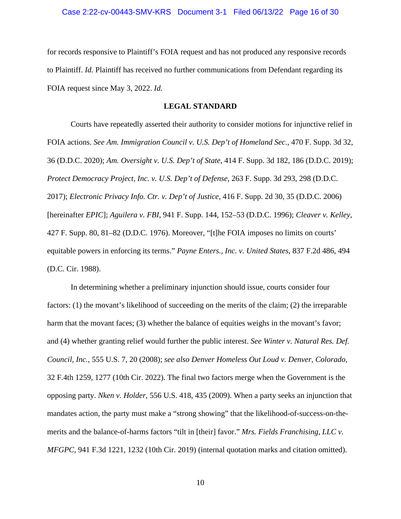for records responsive to Plaintiff's FOIA request and has not produced any responsive records to Plaintiff. *Id.* Plaintiff has received no further communications from Defendant regarding its FOIA request since May 3, 2022. *Id.*

# **LEGAL STANDARD**

<span id="page-15-0"></span>Courts have repeatedly asserted their authority to consider motions for injunctive relief in FOIA actions. *See Am. Immigration Council v. U.S. Dep't of Homeland Sec.*, 470 F. Supp. 3d 32, 36 (D.D.C. 2020); *Am. Oversight v. U.S. Dep't of State*, 414 F. Supp. 3d 182, 186 (D.D.C. 2019); *Protect Democracy Project, Inc. v. U.S. Dep't of Defense*, 263 F. Supp. 3d 293, 298 (D.D.C. 2017); *Electronic Privacy Info. Ctr. v. Dep't of Justice*, 416 F. Supp. 2d 30, 35 (D.D.C. 2006) [hereinafter *EPIC*]; *Aguilera v. FBI*, 941 F. Supp. 144, 152–53 (D.D.C. 1996); *Cleaver v. Kelley*, 427 F. Supp. 80, 81–82 (D.D.C. 1976). Moreover, "[t]he FOIA imposes no limits on courts' equitable powers in enforcing its terms." *Payne Enters., Inc. v. United States*, 837 F.2d 486, 494 (D.C. Cir. 1988).

In determining whether a preliminary injunction should issue, courts consider four factors: (1) the movant's likelihood of succeeding on the merits of the claim; (2) the irreparable harm that the movant faces; (3) whether the balance of equities weighs in the movant's favor; and (4) whether granting relief would further the public interest. *See Winter v. Natural Res. Def. Council, Inc.*, 555 U.S. 7, 20 (2008); *see also Denver Homeless Out Loud v. Denver, Colorado*, 32 F.4th 1259, 1277 (10th Cir. 2022). The final two factors merge when the Government is the opposing party. *Nken v. Holder*, 556 U.S. 418, 435 (2009). When a party seeks an injunction that mandates action, the party must make a "strong showing" that the likelihood-of-success-on-themerits and the balance-of-harms factors "tilt in [their] favor." *Mrs. Fields Franchising, LLC v. MFGPC*, 941 F.3d 1221, 1232 (10th Cir. 2019) (internal quotation marks and citation omitted).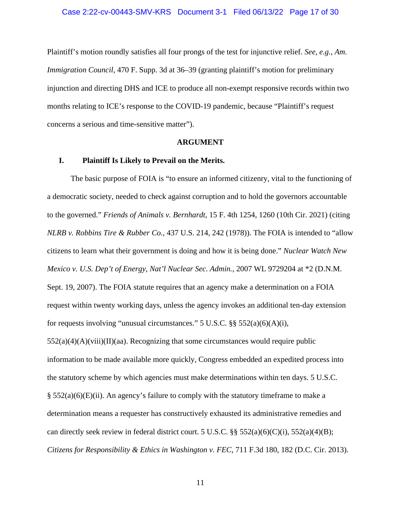Plaintiff's motion roundly satisfies all four prongs of the test for injunctive relief. *See, e.g.*, *Am. Immigration Council*, 470 F. Supp. 3d at 36–39 (granting plaintiff's motion for preliminary injunction and directing DHS and ICE to produce all non-exempt responsive records within two months relating to ICE's response to the COVID-19 pandemic, because "Plaintiff's request concerns a serious and time-sensitive matter").

### **ARGUMENT**

### <span id="page-16-1"></span><span id="page-16-0"></span>**I. Plaintiff Is Likely to Prevail on the Merits.**

The basic purpose of FOIA is "to ensure an informed citizenry, vital to the functioning of a democratic society, needed to check against corruption and to hold the governors accountable to the governed." *Friends of Animals v. Bernhardt*, 15 F. 4th 1254, 1260 (10th Cir. 2021) (citing *NLRB v. Robbins Tire & Rubber Co.*, 437 U.S. 214, 242 (1978)). The FOIA is intended to "allow citizens to learn what their government is doing and how it is being done." *Nuclear Watch New Mexico v. U.S. Dep't of Energy, Nat'l Nuclear Sec. Admin.*, 2007 WL 9729204 at \*2 (D.N.M. Sept. 19, 2007). The FOIA statute requires that an agency make a determination on a FOIA request within twenty working days, unless the agency invokes an additional ten-day extension for requests involving "unusual circumstances." 5 U.S.C. §§ 552(a)(6)(A)(i),  $552(a)(4)(A)(viii)(II)(aa)$ . Recognizing that some circumstances would require public information to be made available more quickly, Congress embedded an expedited process into the statutory scheme by which agencies must make determinations within ten days. 5 U.S.C. § 552(a)(6)(E)(ii). An agency's failure to comply with the statutory timeframe to make a determination means a requester has constructively exhausted its administrative remedies and can directly seek review in federal district court. 5 U.S.C.  $\S\S 552(a)(6)(C)(i)$ , 552(a)(4)(B); *Citizens for Responsibility & Ethics in Washington v. FEC*, 711 F.3d 180, 182 (D.C. Cir. 2013).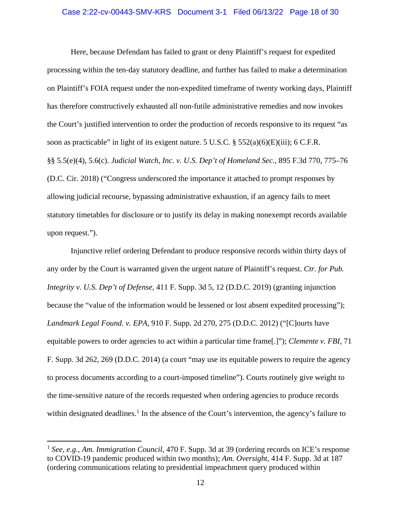### Case 2:22-cv-00443-SMV-KRS Document 3-1 Filed 06/13/22 Page 18 of 30

Here, because Defendant has failed to grant or deny Plaintiff's request for expedited processing within the ten-day statutory deadline, and further has failed to make a determination on Plaintiff's FOIA request under the non-expedited timeframe of twenty working days, Plaintiff has therefore constructively exhausted all non-futile administrative remedies and now invokes the Court's justified intervention to order the production of records responsive to its request "as soon as practicable" in light of its exigent nature. 5 U.S.C. § 552(a)(6)(E)(iii); 6 C.F.R. §§ 5.5(e)(4), 5.6(c). *Judicial Watch, Inc. v. U.S. Dep't of Homeland Sec.*, 895 F.3d 770, 775–76 (D.C. Cir. 2018) ("Congress underscored the importance it attached to prompt responses by allowing judicial recourse, bypassing administrative exhaustion, if an agency fails to meet statutory timetables for disclosure or to justify its delay in making nonexempt records available upon request.").

Injunctive relief ordering Defendant to produce responsive records within thirty days of any order by the Court is warranted given the urgent nature of Plaintiff's request. *Ctr. for Pub. Integrity v. U.S. Dep't of Defense,* 411 F. Supp. 3d 5, 12 (D.D.C. 2019) (granting injunction because the "value of the information would be lessened or lost absent expedited processing"); *Landmark Legal Found. v. EPA*, 910 F. Supp. 2d 270, 275 (D.D.C. 2012) ("[C]ourts have equitable powers to order agencies to act within a particular time frame[.]"); *Clemente v. FBI*, 71 F. Supp. 3d 262, 269 (D.D.C. 2014) (a court "may use its equitable powers to require the agency to process documents according to a court-imposed timeline"). Courts routinely give weight to the time-sensitive nature of the records requested when ordering agencies to produce records within designated deadlines.<sup>[1](#page-17-0)</sup> In the absence of the Court's intervention, the agency's failure to

<span id="page-17-0"></span><sup>1</sup> *See, e.g.*, *Am. Immigration Council*, 470 F. Supp. 3d at 39 (ordering records on ICE's response to COVID-19 pandemic produced within two months); *Am. Oversight*, 414 F. Supp. 3d at 187 (ordering communications relating to presidential impeachment query produced within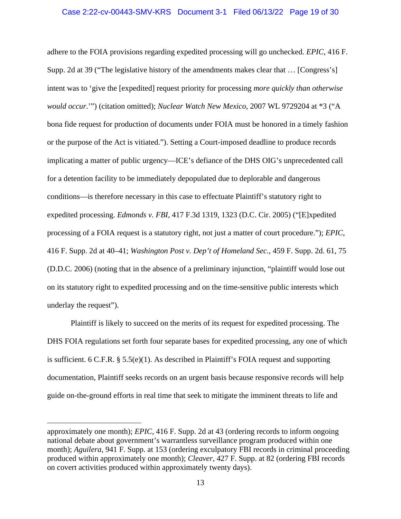adhere to the FOIA provisions regarding expedited processing will go unchecked. *EPIC*, 416 F. Supp. 2d at 39 ("The legislative history of the amendments makes clear that … [Congress's] intent was to 'give the [expedited] request priority for processing *more quickly than otherwise would occur*.'") (citation omitted); *Nuclear Watch New Mexico*, 2007 WL 9729204 at \*3 ("A bona fide request for production of documents under FOIA must be honored in a timely fashion or the purpose of the Act is vitiated."). Setting a Court-imposed deadline to produce records implicating a matter of public urgency—ICE's defiance of the DHS OIG's unprecedented call for a detention facility to be immediately depopulated due to deplorable and dangerous conditions—is therefore necessary in this case to effectuate Plaintiff's statutory right to expedited processing. *Edmonds v. FBI*, 417 F.3d 1319, 1323 (D.C. Cir. 2005) ("[E]xpedited processing of a FOIA request is a statutory right, not just a matter of court procedure."); *EPIC*, 416 F. Supp. 2d at 40–41; *Washington Post v. Dep't of Homeland Sec.*, 459 F. Supp. 2d. 61, 75 (D.D.C. 2006) (noting that in the absence of a preliminary injunction, "plaintiff would lose out on its statutory right to expedited processing and on the time-sensitive public interests which underlay the request").

Plaintiff is likely to succeed on the merits of its request for expedited processing. The DHS FOIA regulations set forth four separate bases for expedited processing, any one of which is sufficient. 6 C.F.R. § 5.5(e)(1). As described in Plaintiff's FOIA request and supporting documentation, Plaintiff seeks records on an urgent basis because responsive records will help guide on-the-ground efforts in real time that seek to mitigate the imminent threats to life and

approximately one month); *EPIC*, 416 F. Supp. 2d at 43 (ordering records to inform ongoing national debate about government's warrantless surveillance program produced within one month); *Aguilera*, 941 F. Supp. at 153 (ordering exculpatory FBI records in criminal proceeding produced within approximately one month); *Cleaver*, 427 F. Supp. at 82 (ordering FBI records on covert activities produced within approximately twenty days).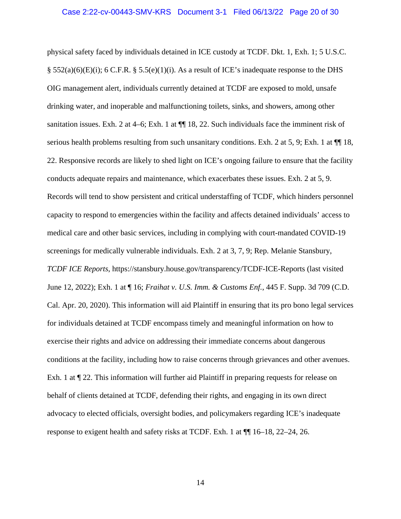physical safety faced by individuals detained in ICE custody at TCDF. Dkt. 1, Exh. 1; 5 U.S.C.  $\S$  552(a)(6)(E)(i); 6 C.F.R.  $\S$  5.5(e)(1)(i). As a result of ICE's inadequate response to the DHS OIG management alert, individuals currently detained at TCDF are exposed to mold, unsafe drinking water, and inoperable and malfunctioning toilets, sinks, and showers, among other sanitation issues. Exh. 2 at 4–6; Exh. 1 at  $\P$  18, 22. Such individuals face the imminent risk of serious health problems resulting from such unsanitary conditions. Exh. 2 at 5, 9; Exh. 1 at  $\P$  18, 22. Responsive records are likely to shed light on ICE's ongoing failure to ensure that the facility conducts adequate repairs and maintenance, which exacerbates these issues. Exh. 2 at 5, 9. Records will tend to show persistent and critical understaffing of TCDF, which hinders personnel capacity to respond to emergencies within the facility and affects detained individuals' access to medical care and other basic services, including in complying with court-mandated COVID-19 screenings for medically vulnerable individuals. Exh. 2 at 3, 7, 9; Rep. Melanie Stansbury, *TCDF ICE Reports*, https://stansbury.house.gov/transparency/TCDF-ICE-Reports (last visited June 12, 2022); Exh. 1 at ¶ 16; *Fraihat v. U.S. Imm. & Customs Enf.*, 445 F. Supp. 3d 709 (C.D. Cal. Apr. 20, 2020). This information will aid Plaintiff in ensuring that its pro bono legal services for individuals detained at TCDF encompass timely and meaningful information on how to exercise their rights and advice on addressing their immediate concerns about dangerous conditions at the facility, including how to raise concerns through grievances and other avenues. Exh. 1 at ¶ 22. This information will further aid Plaintiff in preparing requests for release on behalf of clients detained at TCDF, defending their rights, and engaging in its own direct advocacy to elected officials, oversight bodies, and policymakers regarding ICE's inadequate response to exigent health and safety risks at TCDF. Exh. 1 at ¶¶ 16–18, 22–24, 26.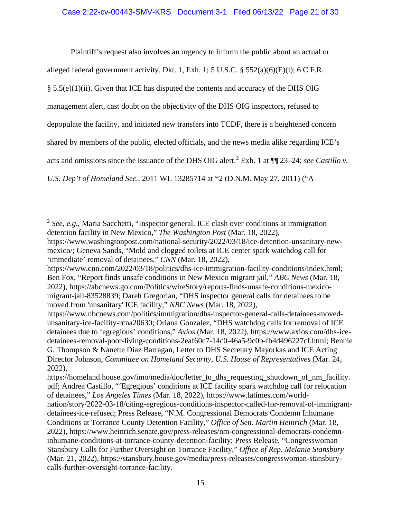Plaintiff's request also involves an urgency to inform the public about an actual or

alleged federal government activity. Dkt. 1, Exh. 1; 5 U.S.C. § 552(a)(6)(E)(i); 6 C.F.R.

 $\S$  5.5(e)(1)(ii). Given that ICE has disputed the contents and accuracy of the DHS OIG

management alert, cast doubt on the objectivity of the DHS OIG inspectors, refused to

depopulate the facility, and initiated new transfers into TCDF, there is a heightened concern

shared by members of the public, elected officials, and the news media alike regarding ICE's

acts and omissions since the issuance of the DHS OIG alert. [2](#page-20-0) Exh. 1 at ¶¶ 23–24; *see Castillo v.* 

*U.S. Dep't of Homeland Sec.*, 2011 WL 13285714 at \*2 (D.N.M. May 27, 2011) ("A

<span id="page-20-0"></span><sup>2</sup> *See, e.g.*, Maria Sacchetti, "Inspector general, ICE clash over conditions at immigration detention facility in New Mexico," *The Washington Post* (Mar. 18, 2022)[,](https://www.washingtonpost.com/national-security/2022/03/18/ice-detention-unsanitary-new-mexico/) https://www.washingtonpost.com/national-security/2022/03/18/ice-detention-unsanitary-newmexico/; Geneva Sands, "Mold and clogged toilets at ICE center spark watchdog call for 'immediate' removal of detainees," *CNN* (Mar. 18, 2022)[,](https://www.cnn.com/2022/03/18/politics/dhs-ice-immigration-facility-conditions/index.html)

https://www.cnn.com/2022/03/18/politics/dhs-ice-immigration-facility-conditions/index.html; Ben Fox, "Report finds unsafe conditions in New Mexico migrant jail," *ABC News* (Mar. 18, 2022)[,](https://abcnews.go.com/Politics/wireStory/reports-finds-unsafe-conditions-mexico-migrant-jail-83528839) https://abcnews.go.com/Politics/wireStory/reports-finds-unsafe-conditions-mexicomigrant-jail-83528839; Dareh Gregorian, "DHS inspector general calls for detainees to be moved from 'unsanitary' ICE facility," *NBC News* (Mar. 18, 2022)[,](https://www.nbcnews.com/politics/immigration/dhs-inspector-general-calls-detainees-moved-unsanitary-ice-facility-rcna20630)

https://www.nbcnews.com/politics/immigration/dhs-inspector-general-calls-detainees-movedunsanitary-ice-facility-rcna20630; Oriana Gonzalez, "DHS watchdog calls for removal of ICE detainees due to 'egregious' conditions," *Axios* (Mar. 18, 2022), [h](https://www.axios.com/dhs-ice-detainees-removal-poor-living-conditions-2eaf60c7-14c0-46a5-9c0b-fb4d496227cf.html)ttps://www.axios.com/dhs-icedetainees-removal-poor-living-conditions-2eaf60c7-14c0-46a5-9c0b-fb4d496227cf.html; Bennie G. Thompson & Nanette Diaz Barragan, Letter to DHS Secretary Mayorkas and ICE Acting Director Johnson, *Committee on Homeland Security, U.S. House of Representatives* (Mar. 24, 2022)[,](https://homeland.house.gov/imo/media/doc/letter_to_dhs_requesting_shutdown_of_nm_facility.pdf)

https://homeland.house.gov/imo/media/doc/letter\_to\_dhs\_requesting\_shutdown\_of\_nm\_facility. pdf; Andrea Castillo, "'Egregious' conditions at ICE facility spark watchdog call for relocation of detainees," *Los Angeles Times* (Mar. 18, 2022), [h](https://www.latimes.com/world-nation/story/2022-03-18/citing-egregious-conditions-inspector-called-for-removal-of-immigrant-detainees-ice-refused)ttps://www.latimes.com/worldnation/story/2022-03-18/citing-egregious-conditions-inspector-called-for-removal-of-immigrantdetainees-ice-refused; Press Release, "N.M. Congressional Democrats Condemn Inhumane Conditions at Torrance County Detention Facility," *Office of Sen. Martin Heinrich* (Mar. 18, 2022)[,](https://www.heinrich.senate.gov/press-releases/nm-congressional-democrats-condemn-inhumane-conditions-at-torrance-county-detention-facility) https://www.heinrich.senate.gov/press-releases/nm-congressional-democrats-condemninhumane-conditions-at-torrance-county-detention-facility; Press Release, "Congresswoman Stansbury Calls for Further Oversight on Torrance Facility," *Office of Rep. Melanie Stansbury* (Mar. 21, 2022)[,](https://stansbury.house.gov/media/press-releases/congresswoman-stansbury-calls-further-oversight-torrance-facility) https://stansbury.house.gov/media/press-releases/congresswoman-stansburycalls-further-oversight-torrance-facility.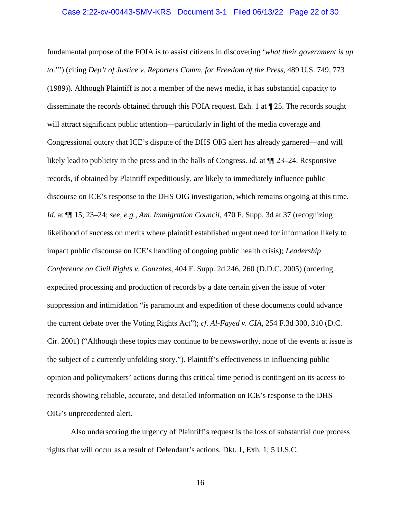fundamental purpose of the FOIA is to assist citizens in discovering '*what their government is up to*.'") (citing *Dep't of Justice v. Reporters Comm. for Freedom of the Press*, 489 U.S. 749, 773 (1989)). Although Plaintiff is not a member of the news media, it has substantial capacity to disseminate the records obtained through this FOIA request. Exh. 1 at ¶ 25. The records sought will attract significant public attention—particularly in light of the media coverage and Congressional outcry that ICE's dispute of the DHS OIG alert has already garnered—and will likely lead to publicity in the press and in the halls of Congress. *Id.* at ¶¶ 23–24. Responsive records, if obtained by Plaintiff expeditiously, are likely to immediately influence public discourse on ICE's response to the DHS OIG investigation, which remains ongoing at this time. *Id.* at ¶¶ 15, 23–24; *see, e.g.*, *Am. Immigration Council*, 470 F. Supp. 3d at 37 (recognizing likelihood of success on merits where plaintiff established urgent need for information likely to impact public discourse on ICE's handling of ongoing public health crisis); *Leadership Conference on Civil Rights v. Gonzales*, 404 F. Supp. 2d 246, 260 (D.D.C. 2005) (ordering expedited processing and production of records by a date certain given the issue of voter suppression and intimidation "is paramount and expedition of these documents could advance the current debate over the Voting Rights Act"); *cf. Al-Fayed v. CIA*, 254 F.3d 300, 310 (D.C. Cir. 2001) ("Although these topics may continue to be newsworthy, none of the events at issue is the subject of a currently unfolding story."). Plaintiff's effectiveness in influencing public opinion and policymakers' actions during this critical time period is contingent on its access to records showing reliable, accurate, and detailed information on ICE's response to the DHS OIG's unprecedented alert.

Also underscoring the urgency of Plaintiff's request is the loss of substantial due process rights that will occur as a result of Defendant's actions. Dkt. 1, Exh. 1; 5 U.S.C.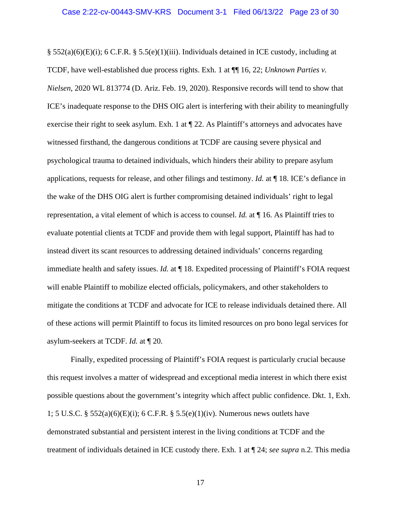§ 552(a)(6)(E)(i); 6 C.F.R. § 5.5(e)(1)(iii). Individuals detained in ICE custody, including at TCDF, have well-established due process rights. Exh. 1 at ¶¶ 16, 22; *Unknown Parties v. Nielsen*, 2020 WL 813774 (D. Ariz. Feb. 19, 2020). Responsive records will tend to show that ICE's inadequate response to the DHS OIG alert is interfering with their ability to meaningfully exercise their right to seek asylum. Exh. 1 at ¶ 22. As Plaintiff's attorneys and advocates have witnessed firsthand, the dangerous conditions at TCDF are causing severe physical and psychological trauma to detained individuals, which hinders their ability to prepare asylum applications, requests for release, and other filings and testimony. *Id.* at ¶ 18. ICE's defiance in the wake of the DHS OIG alert is further compromising detained individuals' right to legal representation, a vital element of which is access to counsel. *Id.* at ¶ 16. As Plaintiff tries to evaluate potential clients at TCDF and provide them with legal support, Plaintiff has had to instead divert its scant resources to addressing detained individuals' concerns regarding immediate health and safety issues. *Id.* at  $\P$  18. Expedited processing of Plaintiff's FOIA request will enable Plaintiff to mobilize elected officials, policymakers, and other stakeholders to mitigate the conditions at TCDF and advocate for ICE to release individuals detained there. All of these actions will permit Plaintiff to focus its limited resources on pro bono legal services for asylum-seekers at TCDF. *Id.* at ¶ 20.

Finally, expedited processing of Plaintiff's FOIA request is particularly crucial because this request involves a matter of widespread and exceptional media interest in which there exist possible questions about the government's integrity which affect public confidence. Dkt. 1, Exh. 1; 5 U.S.C. § 552(a)(6)(E)(i); 6 C.F.R. § 5.5(e)(1)(iv). Numerous news outlets have demonstrated substantial and persistent interest in the living conditions at TCDF and the treatment of individuals detained in ICE custody there. Exh. 1 at ¶ 24; *see supra* n.2. This media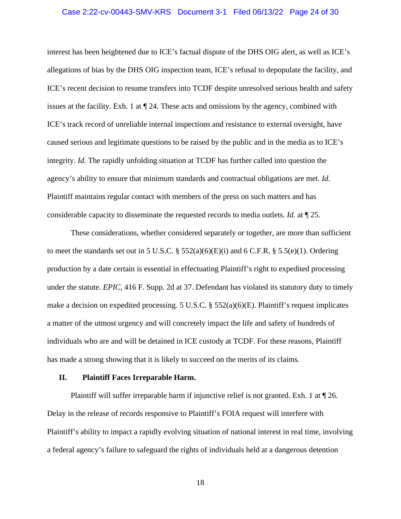### Case 2:22-cv-00443-SMV-KRS Document 3-1 Filed 06/13/22 Page 24 of 30

interest has been heightened due to ICE's factual dispute of the DHS OIG alert, as well as ICE's allegations of bias by the DHS OIG inspection team, ICE's refusal to depopulate the facility, and ICE's recent decision to resume transfers into TCDF despite unresolved serious health and safety issues at the facility. Exh. 1 at ¶ 24. These acts and omissions by the agency, combined with ICE's track record of unreliable internal inspections and resistance to external oversight, have caused serious and legitimate questions to be raised by the public and in the media as to ICE's integrity. *Id.* The rapidly unfolding situation at TCDF has further called into question the agency's ability to ensure that minimum standards and contractual obligations are met. *Id.* Plaintiff maintains regular contact with members of the press on such matters and has considerable capacity to disseminate the requested records to media outlets. *Id.* at ¶ 25.

These considerations, whether considered separately or together, are more than sufficient to meet the standards set out in 5 U.S.C. § 552(a)(6)(E)(i) and 6 C.F.R. § 5.5(e)(1). Ordering production by a date certain is essential in effectuating Plaintiff's right to expedited processing under the statute. *EPIC*, 416 F. Supp. 2d at 37. Defendant has violated its statutory duty to timely make a decision on expedited processing. 5 U.S.C. § 552(a)(6)(E). Plaintiff's request implicates a matter of the utmost urgency and will concretely impact the life and safety of hundreds of individuals who are and will be detained in ICE custody at TCDF. For these reasons, Plaintiff has made a strong showing that it is likely to succeed on the merits of its claims.

### <span id="page-23-0"></span>**II. Plaintiff Faces Irreparable Harm.**

Plaintiff will suffer irreparable harm if injunctive relief is not granted. Exh. 1 at ¶ 26. Delay in the release of records responsive to Plaintiff's FOIA request will interfere with Plaintiff's ability to impact a rapidly evolving situation of national interest in real time, involving a federal agency's failure to safeguard the rights of individuals held at a dangerous detention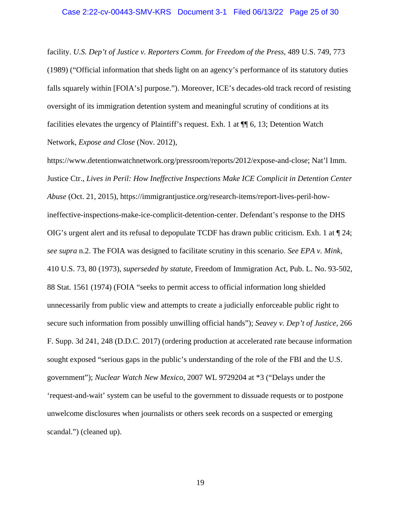facility. *U.S. Dep't of Justice v. Reporters Comm. for Freedom of the Press*, 489 U.S. 749, 773 (1989) ("Official information that sheds light on an agency's performance of its statutory duties falls squarely within [FOIA's] purpose."). Moreover, ICE's decades-old track record of resisting oversight of its immigration detention system and meaningful scrutiny of conditions at its facilities elevates the urgency of Plaintiff's request. Exh. 1 at ¶¶ 6, 13; Detention Watch Network, *Expose and Close* (Nov. 2012),

https://www.detentionwatchnetwork.org/pressroom/reports/2012/expose-and-close; Nat'l Imm. Justice Ctr., *Lives in Peril: How Ineffective Inspections Make ICE Complicit in Detention Center Abuse* (Oct. 21, 2015), https://immigrantjustice.org/research-items/report-lives-peril-howineffective-inspections-make-ice-complicit-detention-center. Defendant's response to the DHS OIG's urgent alert and its refusal to depopulate TCDF has drawn public criticism. Exh. 1 at ¶ 24; *see supra* n.2. The FOIA was designed to facilitate scrutiny in this scenario. *See EPA v. Mink*, 410 U.S. 73, 80 (1973), *superseded by statute*, Freedom of Immigration Act, Pub. L. No. 93-502, 88 Stat. 1561 (1974) (FOIA "seeks to permit access to official information long shielded unnecessarily from public view and attempts to create a judicially enforceable public right to secure such information from possibly unwilling official hands"); *Seavey v. Dep't of Justice*, 266 F. Supp. 3d 241, 248 (D.D.C. 2017) (ordering production at accelerated rate because information sought exposed "serious gaps in the public's understanding of the role of the FBI and the U.S. government"); *Nuclear Watch New Mexico*, 2007 WL 9729204 at \*3 ("Delays under the 'request-and-wait' system can be useful to the government to dissuade requests or to postpone unwelcome disclosures when journalists or others seek records on a suspected or emerging scandal.") (cleaned up).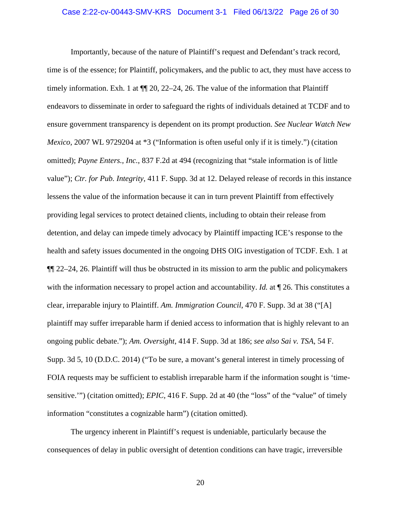### Case 2:22-cv-00443-SMV-KRS Document 3-1 Filed 06/13/22 Page 26 of 30

Importantly, because of the nature of Plaintiff's request and Defendant's track record, time is of the essence; for Plaintiff, policymakers, and the public to act, they must have access to timely information. Exh. 1 at  $\P$  20, 22–24, 26. The value of the information that Plaintiff endeavors to disseminate in order to safeguard the rights of individuals detained at TCDF and to ensure government transparency is dependent on its prompt production. *See Nuclear Watch New Mexico*, 2007 WL 9729204 at \*3 ("Information is often useful only if it is timely.") (citation omitted); *Payne Enters., Inc.*, 837 F.2d at 494 (recognizing that "stale information is of little value"); *Ctr. for Pub. Integrity*, 411 F. Supp. 3d at 12. Delayed release of records in this instance lessens the value of the information because it can in turn prevent Plaintiff from effectively providing legal services to protect detained clients, including to obtain their release from detention, and delay can impede timely advocacy by Plaintiff impacting ICE's response to the health and safety issues documented in the ongoing DHS OIG investigation of TCDF. Exh. 1 at  $\P$ [22–24, 26. Plaintiff will thus be obstructed in its mission to arm the public and policymakers with the information necessary to propel action and accountability. *Id.* at  $\P$  26. This constitutes a clear, irreparable injury to Plaintiff. *Am. Immigration Council*, 470 F. Supp. 3d at 38 ("[A] plaintiff may suffer irreparable harm if denied access to information that is highly relevant to an ongoing public debate."); *Am. Oversight*, 414 F. Supp. 3d at 186; *see also Sai v. TSA*, 54 F. Supp. 3d 5, 10 (D.D.C. 2014) ("To be sure, a movant's general interest in timely processing of FOIA requests may be sufficient to establish irreparable harm if the information sought is 'timesensitive.'") (citation omitted); *EPIC*, 416 F. Supp. 2d at 40 (the "loss" of the "value" of timely information "constitutes a cognizable harm") (citation omitted).

The urgency inherent in Plaintiff's request is undeniable, particularly because the consequences of delay in public oversight of detention conditions can have tragic, irreversible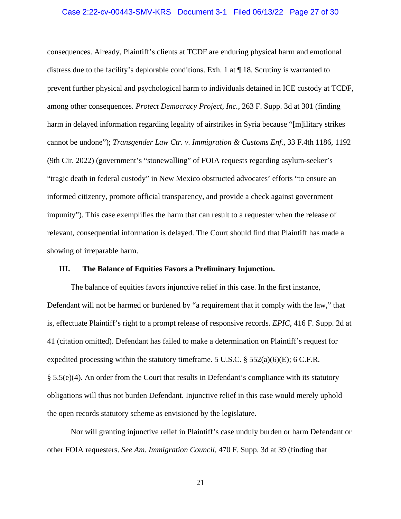### Case 2:22-cv-00443-SMV-KRS Document 3-1 Filed 06/13/22 Page 27 of 30

consequences. Already, Plaintiff's clients at TCDF are enduring physical harm and emotional distress due to the facility's deplorable conditions. Exh. 1 at  $\P$  18. Scrutiny is warranted to prevent further physical and psychological harm to individuals detained in ICE custody at TCDF, among other consequences. *Protect Democracy Project, Inc.*, 263 F. Supp. 3d at 301 (finding harm in delayed information regarding legality of airstrikes in Syria because "[m]ilitary strikes cannot be undone"); *Transgender Law Ctr. v. Immigration & Customs Enf.*, 33 F.4th 1186, 1192 (9th Cir. 2022) (government's "stonewalling" of FOIA requests regarding asylum-seeker's "tragic death in federal custody" in New Mexico obstructed advocates' efforts "to ensure an informed citizenry, promote official transparency, and provide a check against government impunity"). This case exemplifies the harm that can result to a requester when the release of relevant, consequential information is delayed. The Court should find that Plaintiff has made a showing of irreparable harm.

# <span id="page-26-0"></span>**III. The Balance of Equities Favors a Preliminary Injunction.**

The balance of equities favors injunctive relief in this case. In the first instance, Defendant will not be harmed or burdened by "a requirement that it comply with the law," that is, effectuate Plaintiff's right to a prompt release of responsive records. *EPIC*, 416 F. Supp. 2d at 41 (citation omitted). Defendant has failed to make a determination on Plaintiff's request for expedited processing within the statutory timeframe. 5 U.S.C.  $\S$  552(a)(6)(E); 6 C.F.R. § 5.5(e)(4). An order from the Court that results in Defendant's compliance with its statutory obligations will thus not burden Defendant. Injunctive relief in this case would merely uphold the open records statutory scheme as envisioned by the legislature.

Nor will granting injunctive relief in Plaintiff's case unduly burden or harm Defendant or other FOIA requesters. *See Am. Immigration Council*, 470 F. Supp. 3d at 39 (finding that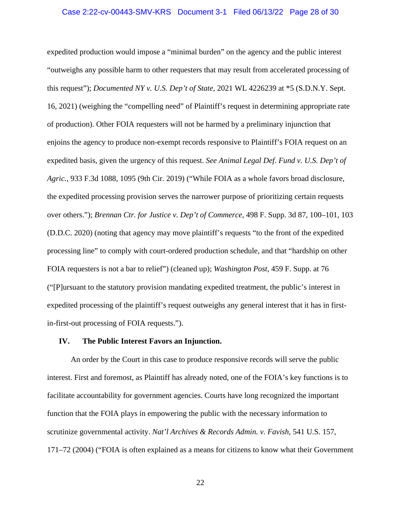### Case 2:22-cv-00443-SMV-KRS Document 3-1 Filed 06/13/22 Page 28 of 30

expedited production would impose a "minimal burden" on the agency and the public interest "outweighs any possible harm to other requesters that may result from accelerated processing of this request"); *Documented NY v. U.S. Dep't of State*, 2021 WL 4226239 at \*5 (S.D.N.Y. Sept. 16, 2021) (weighing the "compelling need" of Plaintiff's request in determining appropriate rate of production). Other FOIA requesters will not be harmed by a preliminary injunction that enjoins the agency to produce non-exempt records responsive to Plaintiff's FOIA request on an expedited basis, given the urgency of this request. *See Animal Legal Def. Fund v. U.S. Dep't of Agric.*, 933 F.3d 1088, 1095 (9th Cir. 2019) ("While FOIA as a whole favors broad disclosure, the expedited processing provision serves the narrower purpose of prioritizing certain requests over others."); *Brennan Ctr. for Justice v. Dep't of Commerce*, 498 F. Supp. 3d 87, 100–101, 103 (D.D.C. 2020) (noting that agency may move plaintiff's requests "to the front of the expedited processing line" to comply with court-ordered production schedule, and that "hardship on other FOIA requesters is not a bar to relief") (cleaned up); *Washington Post*, 459 F. Supp. at 76 ("[P]ursuant to the statutory provision mandating expedited treatment, the public's interest in expedited processing of the plaintiff's request outweighs any general interest that it has in firstin-first-out processing of FOIA requests.").

### <span id="page-27-0"></span>**IV. The Public Interest Favors an Injunction.**

An order by the Court in this case to produce responsive records will serve the public interest. First and foremost, as Plaintiff has already noted, one of the FOIA's key functions is to facilitate accountability for government agencies. Courts have long recognized the important function that the FOIA plays in empowering the public with the necessary information to scrutinize governmental activity. *Nat'l Archives & Records Admin. v. Favish*, 541 U.S. 157, 171–72 (2004) ("FOIA is often explained as a means for citizens to know what their Government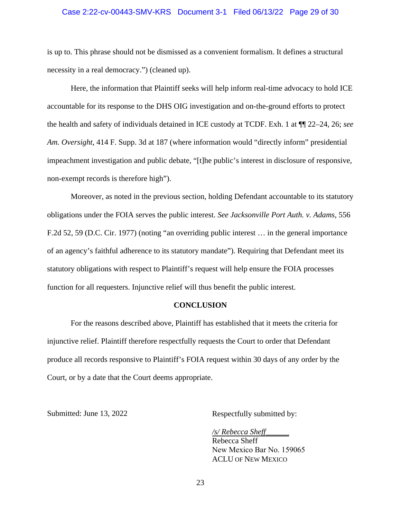## Case 2:22-cv-00443-SMV-KRS Document 3-1 Filed 06/13/22 Page 29 of 30

is up to. This phrase should not be dismissed as a convenient formalism. It defines a structural necessity in a real democracy.") (cleaned up).

Here, the information that Plaintiff seeks will help inform real-time advocacy to hold ICE accountable for its response to the DHS OIG investigation and on-the-ground efforts to protect the health and safety of individuals detained in ICE custody at TCDF. Exh. 1 at ¶¶ 22–24, 26; *see Am. Oversight*, 414 F. Supp. 3d at 187 (where information would "directly inform" presidential impeachment investigation and public debate, "[t]he public's interest in disclosure of responsive, non-exempt records is therefore high").

Moreover, as noted in the previous section, holding Defendant accountable to its statutory obligations under the FOIA serves the public interest. *See Jacksonville Port Auth. v. Adams*, 556 F.2d 52, 59 (D.C. Cir. 1977) (noting "an overriding public interest … in the general importance of an agency's faithful adherence to its statutory mandate"). Requiring that Defendant meet its statutory obligations with respect to Plaintiff's request will help ensure the FOIA processes function for all requesters. Injunctive relief will thus benefit the public interest.

### **CONCLUSION**

<span id="page-28-0"></span>For the reasons described above, Plaintiff has established that it meets the criteria for injunctive relief. Plaintiff therefore respectfully requests the Court to order that Defendant produce all records responsive to Plaintiff's FOIA request within 30 days of any order by the Court, or by a date that the Court deems appropriate.

Submitted: June 13, 2022 Respectfully submitted by:

*/s/ Rebecca Sheff\_\_\_\_\_\_*  Rebecca Sheff New Mexico Bar No. 159065 ACLU OF NEW MEXICO